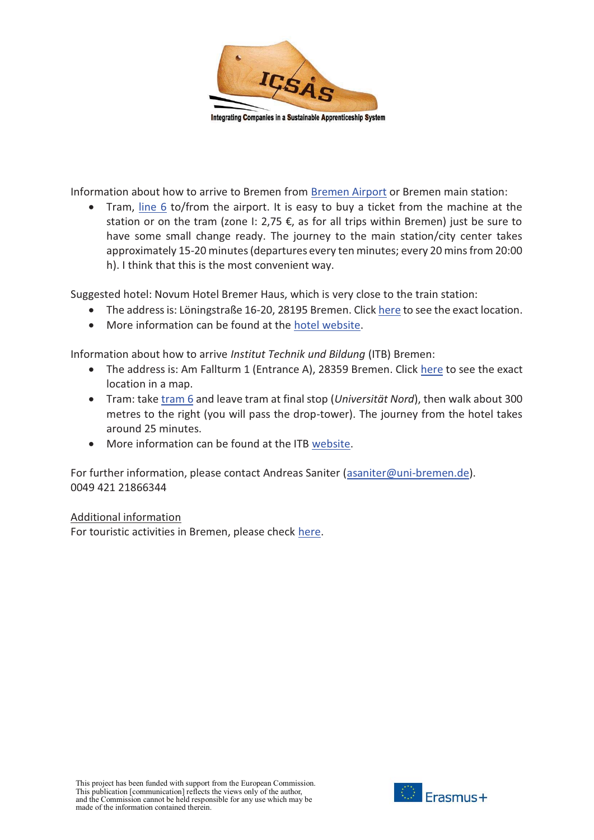

Information about how to arrive to Bremen from Bremen Airport or Bremen main station:

• Tram, line 6 to/from the airport. It is easy to buy a ticket from the machine at the station or on the tram (zone I: 2,75  $\epsilon$ , as for all trips within Bremen) just be sure to have some small change ready. The journey to the main station/city center takes approximately 15-20 minutes (departures every ten minutes; every 20 mins from 20:00 h). I think that this is the most convenient way.

Suggested hotel: Novum Hotel Bremer Haus, which is very close to the train station:

- $\bullet$ The address is: Löningstraße 16-20, 28195 Bremen. Click here to see the exact location.
- More information can be found at the hotel website.

Information about how to arrive *Institut Technik und Bildung* (ITB) Bremen:

- The address is: Am Fallturm 1 (Entrance A), 28359 Bremen. Click here to see the exact location in a map.
- **•** Tram: take tram 6 and leave tram at final stop (*Universität Nord*), then walk about 300 metres to the right (you will pass the drop-tower). The journey from the hotel takes around 25 minutes.
- More information can be found at the ITB website.

For further information, please contact Andreas Saniter (asaniter@uni-bremen.de). 0049 421 21866344

#### Additional information

For touristic activities in Bremen, please check here.

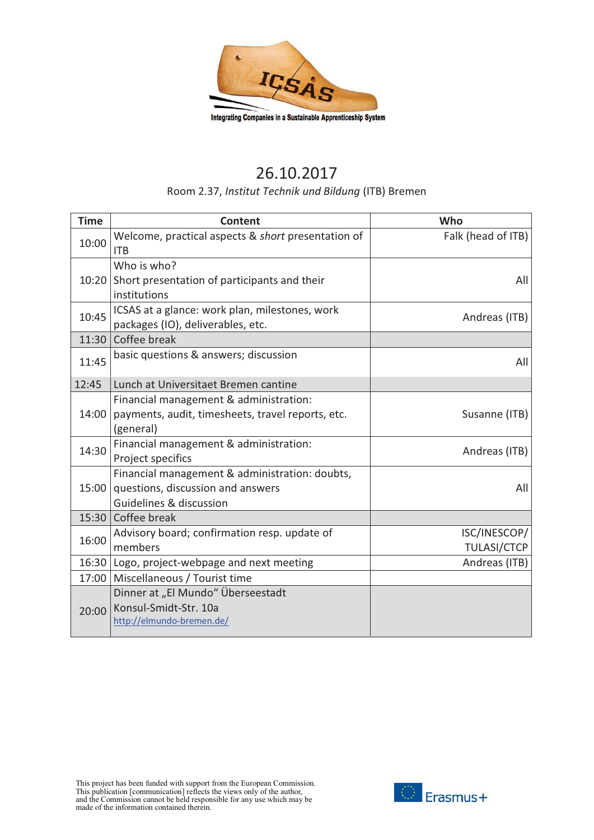

# 26.10.2017

### Room 2.37, *Institut Technik und Bildung* (ITB) Bremen

| <b>Time</b> | <b>Content</b>                                                                                                 | Who                                |
|-------------|----------------------------------------------------------------------------------------------------------------|------------------------------------|
| 10:00       | Welcome, practical aspects & short presentation of<br><b>ITB</b>                                               | Falk (head of ITB)                 |
| 10:20       | Who is who?<br>Short presentation of participants and their<br>institutions                                    | All                                |
| 10:45       | ICSAS at a glance: work plan, milestones, work<br>packages (IO), deliverables, etc.                            | Andreas (ITB)                      |
| 11:30       | Coffee break                                                                                                   |                                    |
| 11:45       | basic questions & answers; discussion                                                                          | All                                |
| 12:45       | Lunch at Universitaet Bremen cantine                                                                           |                                    |
| 14:00       | Financial management & administration:<br>payments, audit, timesheets, travel reports, etc.<br>(general)       | Susanne (ITB)                      |
| 14:30       | Financial management & administration:<br>Project specifics                                                    | Andreas (ITB)                      |
| 15:00       | Financial management & administration: doubts,<br>questions, discussion and answers<br>Guidelines & discussion | All                                |
|             | 15:30 Coffee break                                                                                             |                                    |
| 16:00       | Advisory board; confirmation resp. update of<br>members                                                        | ISC/INESCOP/<br><b>TULASI/CTCP</b> |
|             | 16:30 Logo, project-webpage and next meeting                                                                   | Andreas (ITB)                      |
| 17:00       | Miscellaneous / Tourist time                                                                                   |                                    |
| 20:00       | Dinner at "El Mundo" Überseestadt<br>Konsul-Smidt-Str. 10a<br>http://elmundo-bremen.de/                        |                                    |